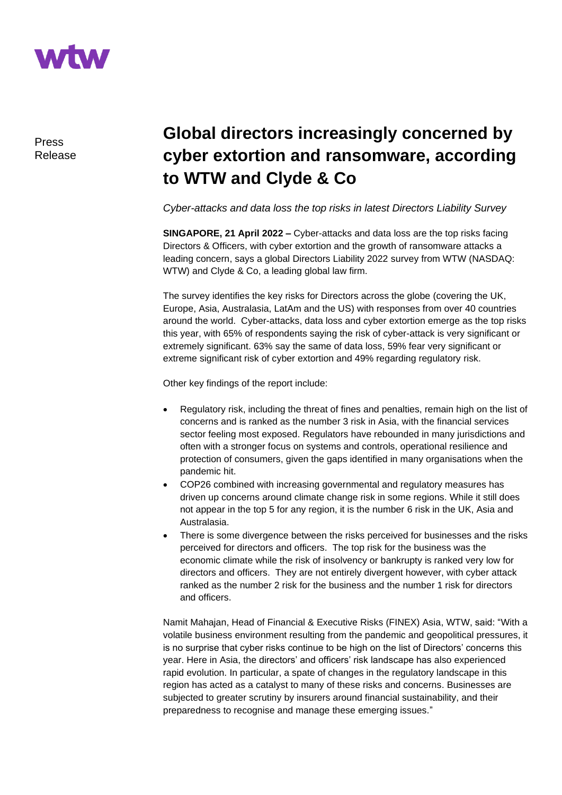

Press Release

## **Global directors increasingly concerned by cyber extortion and ransomware, according to WTW and Clyde & Co**

*Cyber-attacks and data loss the top risks in latest Directors Liability Survey*

**SINGAPORE, 21 April 2022 –** Cyber-attacks and data loss are the top risks facing Directors & Officers, with cyber extortion and the growth of ransomware attacks a leading concern, says a global Directors Liability 2022 survey from WTW (NASDAQ: WTW) and Clyde & Co, a leading global law firm.

The survey identifies the key risks for Directors across the globe (covering the UK, Europe, Asia, Australasia, LatAm and the US) with responses from over 40 countries around the world. Cyber-attacks, data loss and cyber extortion emerge as the top risks this year, with 65% of respondents saying the risk of cyber-attack is very significant or extremely significant. 63% say the same of data loss, 59% fear very significant or extreme significant risk of cyber extortion and 49% regarding regulatory risk.

Other key findings of the report include:

- Regulatory risk, including the threat of fines and penalties, remain high on the list of concerns and is ranked as the number 3 risk in Asia, with the financial services sector feeling most exposed. Regulators have rebounded in many jurisdictions and often with a stronger focus on systems and controls, operational resilience and protection of consumers, given the gaps identified in many organisations when the pandemic hit.
- COP26 combined with increasing governmental and regulatory measures has driven up concerns around climate change risk in some regions. While it still does not appear in the top 5 for any region, it is the number 6 risk in the UK, Asia and Australasia.
- There is some divergence between the risks perceived for businesses and the risks perceived for directors and officers. The top risk for the business was the economic climate while the risk of insolvency or bankrupty is ranked very low for directors and officers. They are not entirely divergent however, with cyber attack ranked as the number 2 risk for the business and the number 1 risk for directors and officers.

Namit Mahajan, Head of Financial & Executive Risks (FINEX) Asia, WTW, said: "With a volatile business environment resulting from the pandemic and geopolitical pressures, it is no surprise that cyber risks continue to be high on the list of Directors' concerns this year. Here in Asia, the directors' and officers' risk landscape has also experienced rapid evolution. In particular, a spate of changes in the regulatory landscape in this region has acted as a catalyst to many of these risks and concerns. Businesses are subjected to greater scrutiny by insurers around financial sustainability, and their preparedness to recognise and manage these emerging issues."